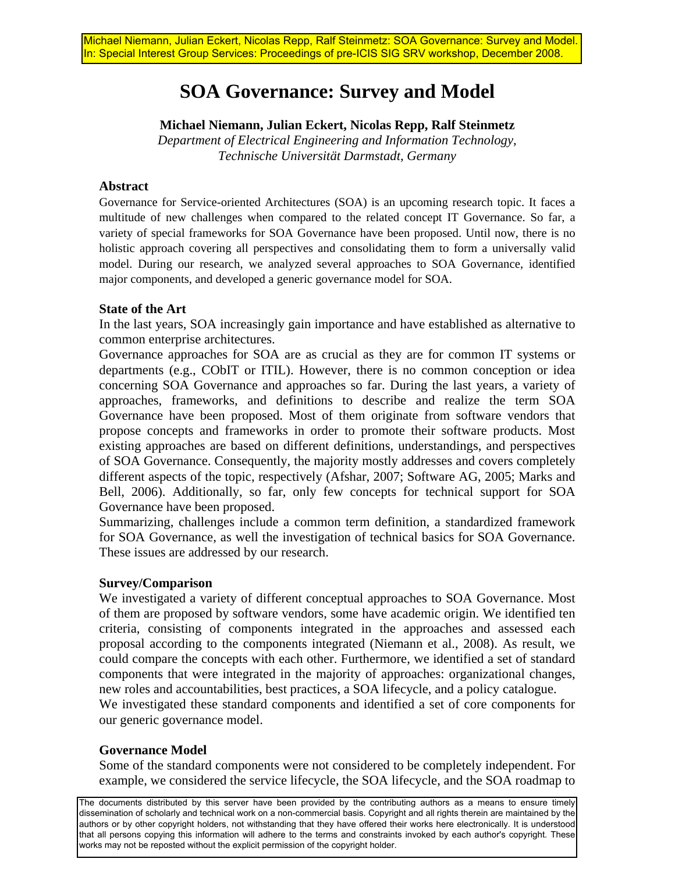# **SOA Governance: Survey and Model**

## **Michael Niemann, Julian Eckert, Nicolas Repp, Ralf Steinmetz**

*Department of Electrical Engineering and Information Technology, Technische Universität Darmstadt, Germany* 

### **Abstract**

Governance for Service-oriented Architectures (SOA) is an upcoming research topic. It faces a multitude of new challenges when compared to the related concept IT Governance. So far, a variety of special frameworks for SOA Governance have been proposed. Until now, there is no holistic approach covering all perspectives and consolidating them to form a universally valid model. During our research, we analyzed several approaches to SOA Governance, identified major components, and developed a generic governance model for SOA.

### **State of the Art**

In the last years, SOA increasingly gain importance and have established as alternative to common enterprise architectures.

Governance approaches for SOA are as crucial as they are for common IT systems or departments (e.g., CObIT or ITIL). However, there is no common conception or idea concerning SOA Governance and approaches so far. During the last years, a variety of approaches, frameworks, and definitions to describe and realize the term SOA Governance have been proposed. Most of them originate from software vendors that propose concepts and frameworks in order to promote their software products. Most existing approaches are based on different definitions, understandings, and perspectives of SOA Governance. Consequently, the majority mostly addresses and covers completely different aspects of the topic, respectively (Afshar, 2007; Software AG, 2005; Marks and Bell, 2006). Additionally, so far, only few concepts for technical support for SOA Governance have been proposed.

Summarizing, challenges include a common term definition, a standardized framework for SOA Governance, as well the investigation of technical basics for SOA Governance. These issues are addressed by our research.

#### **Survey/Comparison**

We investigated a variety of different conceptual approaches to SOA Governance. Most of them are proposed by software vendors, some have academic origin. We identified ten criteria, consisting of components integrated in the approaches and assessed each proposal according to the components integrated (Niemann et al., 2008). As result, we could compare the concepts with each other. Furthermore, we identified a set of standard components that were integrated in the majority of approaches: organizational changes, new roles and accountabilities, best practices, a SOA lifecycle, and a policy catalogue. We investigated these standard components and identified a set of core components for our generic governance model.

## **Governance Model**

Some of the standard components were not considered to be completely independent. For example, we considered the service lifecycle, the SOA lifecycle, and the SOA roadmap to

The documents distributed by this server have been provided by the contributing authors as a means to ensure timely dissemination of scholarly and technical work on a non-commercial basis. Copyright and all rights therein are maintained by the authors or by other copyright holders, not withstanding that they have offered their works here electronically. It is understood that all persons copying this information will adhere to the terms and constraints invoked by each author's copyright. These works may not be reposted without the explicit permission of the copyright holder.